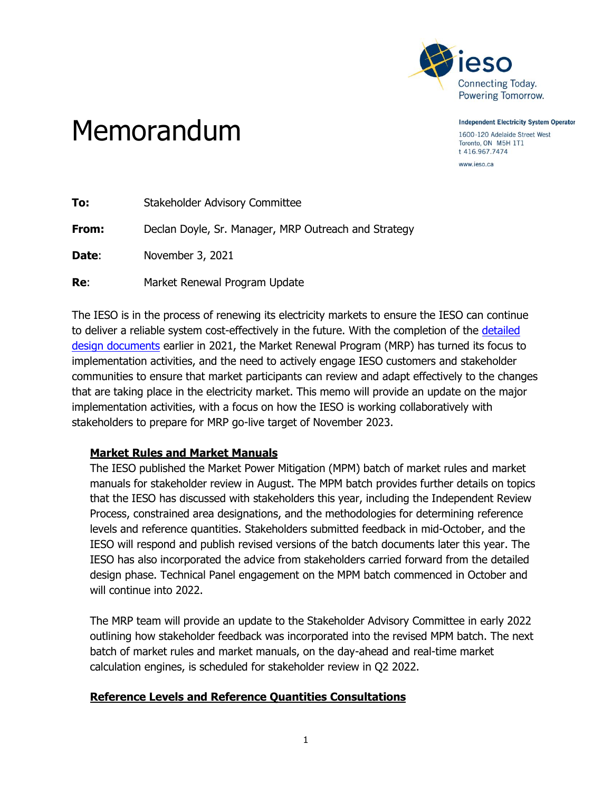

**Independent Electricity System Operator** 1600-120 Adelaide Street West

# Toronto, ON M5H 1T1 t 416.967.7474

www.ieso.ca

| To:   | Stakeholder Advisory Committee                       |
|-------|------------------------------------------------------|
| From: | Declan Doyle, Sr. Manager, MRP Outreach and Strategy |
| Date: | November 3, 2021                                     |
| Re:   | Market Renewal Program Update                        |

The IESO is in the process of renewing its electricity markets to ensure the IESO can continue to deliver a reliable system cost-effectively in the future. With the completion of the [detailed](https://www.ieso.ca/en/Market-Renewal/Energy-Stream-Designs/Detailed-Design)  design [documents](https://www.ieso.ca/en/Market-Renewal/Energy-Stream-Designs/Detailed-Design) earlier in 2021, the Market Renewal Program (MRP) has turned its focus to implementation activities, and the need to actively engage IESO customers and stakeholder communities to ensure that market participants can review and adapt effectively to the changes that are taking place in the electricity market. This memo will provide an update on the major implementation activities, with a focus on how the IESO is working collaboratively with stakeholders to prepare for MRP go-live target of November 2023.

## **Market Rules and Market Manuals**

Memorandum

The IESO published the Market Power Mitigation (MPM) batch of market rules and market manuals for stakeholder review in August. The MPM batch provides further details on topics that the IESO has discussed with stakeholders this year, including the Independent Review Process, constrained area designations, and the methodologies for determining reference levels and reference quantities. Stakeholders submitted feedback in mid-October, and the IESO will respond and publish revised versions of the batch documents later this year. The IESO has also incorporated the advice from stakeholders carried forward from the detailed design phase. Technical Panel engagement on the MPM batch commenced in October and will continue into 2022.

The MRP team will provide an update to the Stakeholder Advisory Committee in early 2022 outlining how stakeholder feedback was incorporated into the revised MPM batch. The next batch of market rules and market manuals, on the day-ahead and real-time market calculation engines, is scheduled for stakeholder review in Q2 2022.

### **Reference Levels and Reference Quantities Consultations**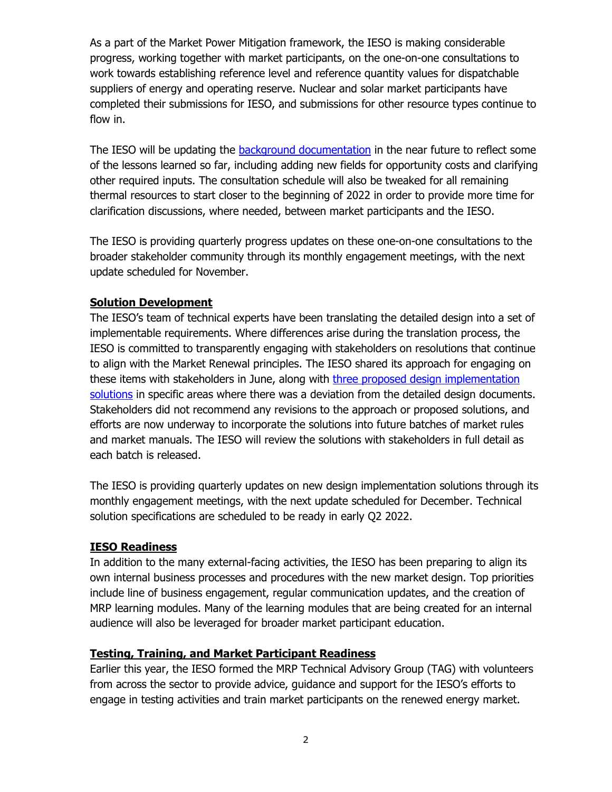As a part of the Market Power Mitigation framework, the IESO is making considerable progress, working together with market participants, on the one-on-one consultations to work towards establishing reference level and reference quantity values for dispatchable suppliers of energy and operating reserve. Nuclear and solar market participants have completed their submissions for IESO, and submissions for other resource types continue to flow in.

The IESO will be updating the [background documentation](https://www.ieso.ca/en/Market-Renewal/Energy-Stream-Designs/Implementation-phase-documents) in the near future to reflect some of the lessons learned so far, including adding new fields for opportunity costs and clarifying other required inputs. The consultation schedule will also be tweaked for all remaining thermal resources to start closer to the beginning of 2022 in order to provide more time for clarification discussions, where needed, between market participants and the IESO.

The IESO is providing quarterly progress updates on these one-on-one consultations to the broader stakeholder community through its monthly engagement meetings, with the next update scheduled for November.

### **Solution Development**

The IESO's team of technical experts have been translating the detailed design into a set of implementable requirements. Where differences arise during the translation process, the IESO is committed to transparently engaging with stakeholders on resolutions that continue to align with the Market Renewal principles. The IESO shared its approach for engaging on these items with stakeholders in June, along with three proposed design implementation [solutions](https://www.ieso.ca/-/media/Files/IESO/Document-Library/engage/imrm/imrm-20210624-presentation.ashx) in specific areas where there was a deviation from the detailed design documents. Stakeholders did not recommend any revisions to the approach or proposed solutions, and efforts are now underway to incorporate the solutions into future batches of market rules and market manuals. The IESO will review the solutions with stakeholders in full detail as each batch is released.

The IESO is providing quarterly updates on new design implementation solutions through its monthly engagement meetings, with the next update scheduled for December. Technical solution specifications are scheduled to be ready in early Q2 2022.

### **IESO Readiness**

In addition to the many external-facing activities, the IESO has been preparing to align its own internal business processes and procedures with the new market design. Top priorities include line of business engagement, regular communication updates, and the creation of MRP learning modules. Many of the learning modules that are being created for an internal audience will also be leveraged for broader market participant education.

### **Testing, Training, and Market Participant Readiness**

Earlier this year, the IESO formed the MRP Technical Advisory Group (TAG) with volunteers from across the sector to provide advice, guidance and support for the IESO's efforts to engage in testing activities and train market participants on the renewed energy market.